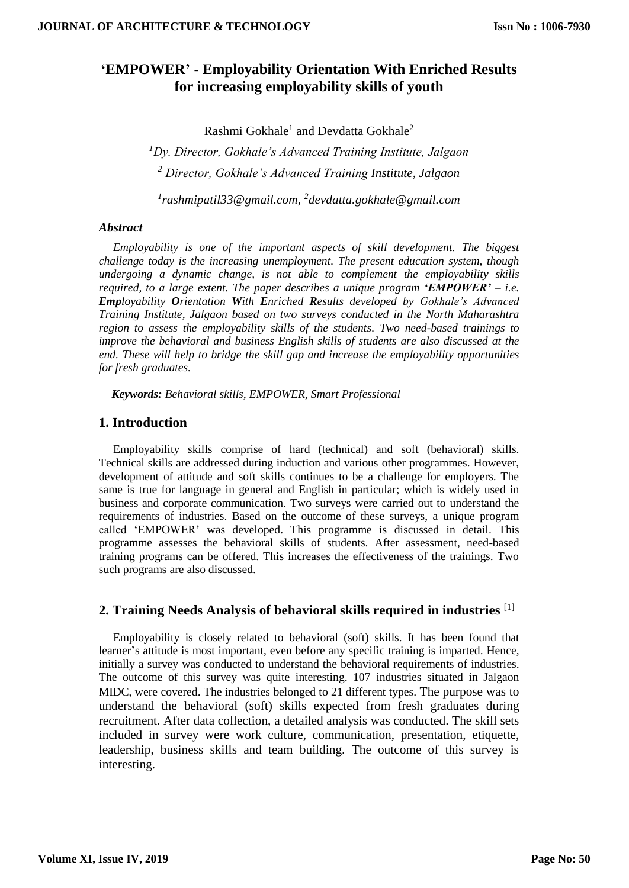# **'EMPOWER' - Employability Orientation With Enriched Results for increasing employability skills of youth**

Rashmi Gokhale<sup>1</sup> and Devdatta Gokhale<sup>2</sup>

*<sup>1</sup>Dy. Director, Gokhale's Advanced Training Institute, Jalgaon <sup>2</sup> Director, Gokhale's Advanced Training Institute, Jalgaon 1 rashmipatil33@gmail.com, 2 devdatta.gokhale@gmail.com*

### *Abstract*

*Employability is one of the important aspects of skill development. The biggest challenge today is the increasing unemployment. The present education system, though undergoing a dynamic change, is not able to complement the employability skills required, to a large extent. The paper describes a unique program 'EMPOWER' – i.e. Employability Orientation With Enriched Results developed by Gokhale's Advanced Training Institute, Jalgaon based on two surveys conducted in the North Maharashtra region to assess the employability skills of the students. Two need-based trainings to improve the behavioral and business English skills of students are also discussed at the end. These will help to bridge the skill gap and increase the employability opportunities for fresh graduates.* 

*Keywords: Behavioral skills, EMPOWER, Smart Professional*

## **1. Introduction**

Employability skills comprise of hard (technical) and soft (behavioral) skills. Technical skills are addressed during induction and various other programmes. However, development of attitude and soft skills continues to be a challenge for employers. The same is true for language in general and English in particular; which is widely used in business and corporate communication. Two surveys were carried out to understand the requirements of industries. Based on the outcome of these surveys, a unique program called 'EMPOWER' was developed. This programme is discussed in detail. This programme assesses the behavioral skills of students. After assessment, need-based training programs can be offered. This increases the effectiveness of the trainings. Two such programs are also discussed.

## **2. Training Needs Analysis of behavioral skills required in industries** [1]

Employability is closely related to behavioral (soft) skills. It has been found that learner's attitude is most important, even before any specific training is imparted. Hence, initially a survey was conducted to understand the behavioral requirements of industries. The outcome of this survey was quite interesting. 107 industries situated in Jalgaon MIDC, were covered. The industries belonged to 21 different types. The purpose was to understand the behavioral (soft) skills expected from fresh graduates during recruitment. After data collection, a detailed analysis was conducted. The skill sets included in survey were work culture, communication, presentation, etiquette, leadership, business skills and team building. The outcome of this survey is interesting.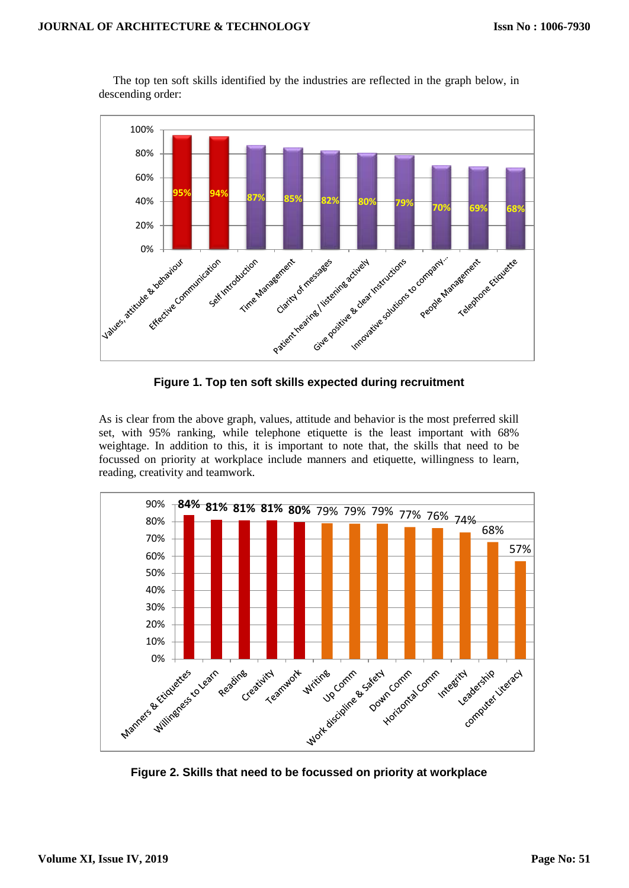

The top ten soft skills identified by the industries are reflected in the graph below, in descending order:

**Figure 1. Top ten soft skills expected during recruitment**

As is clear from the above graph, values, attitude and behavior is the most preferred skill set, with 95% ranking, while telephone etiquette is the least important with 68% weightage. In addition to this, it is important to note that, the skills that need to be focussed on priority at workplace include manners and etiquette, willingness to learn, reading, creativity and teamwork.



**Figure 2. Skills that need to be focussed on priority at workplace**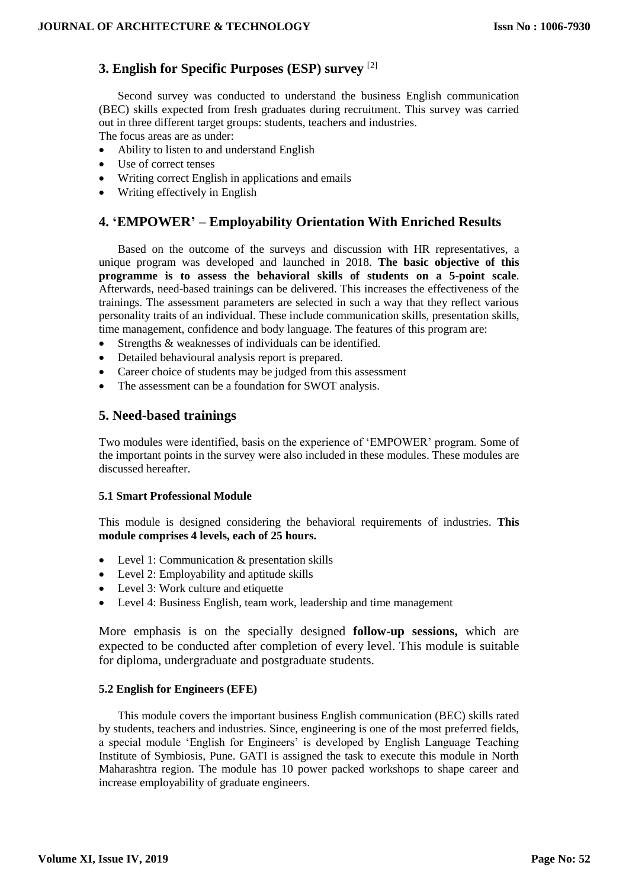## **3. English for Specific Purposes (ESP) survey** [2]

Second survey was conducted to understand the business English communication (BEC) skills expected from fresh graduates during recruitment. This survey was carried out in three different target groups: students, teachers and industries.

The focus areas are as under:

- Ability to listen to and understand English
- Use of correct tenses
- Writing correct English in applications and emails
- Writing effectively in English

## **4. 'EMPOWER' – Employability Orientation With Enriched Results**

Based on the outcome of the surveys and discussion with HR representatives, a unique program was developed and launched in 2018. **The basic objective of this programme is to assess the behavioral skills of students on a 5-point scale**. Afterwards, need-based trainings can be delivered. This increases the effectiveness of the trainings. The assessment parameters are selected in such a way that they reflect various personality traits of an individual. These include communication skills, presentation skills, time management, confidence and body language. The features of this program are:

- Strengths & weaknesses of individuals can be identified.
- Detailed behavioural analysis report is prepared.
- Career choice of students may be judged from this assessment
- The assessment can be a foundation for SWOT analysis.

## **5. Need-based trainings**

Two modules were identified, basis on the experience of 'EMPOWER' program. Some of the important points in the survey were also included in these modules. These modules are discussed hereafter.

#### **5.1 Smart Professional Module**

This module is designed considering the behavioral requirements of industries. **This module comprises 4 levels, each of 25 hours.**

- Level 1: Communication & presentation skills
- Level 2: Employability and aptitude skills
- Level 3: Work culture and etiquette
- Level 4: Business English, team work, leadership and time management

More emphasis is on the specially designed **follow-up sessions,** which are expected to be conducted after completion of every level. This module is suitable for diploma, undergraduate and postgraduate students.

#### **5.2 English for Engineers (EFE)**

This module covers the important business English communication (BEC) skills rated by students, teachers and industries. Since, engineering is one of the most preferred fields, a special module 'English for Engineers' is developed by English Language Teaching Institute of Symbiosis, Pune. GATI is assigned the task to execute this module in North Maharashtra region. The module has 10 power packed workshops to shape career and increase employability of graduate engineers.